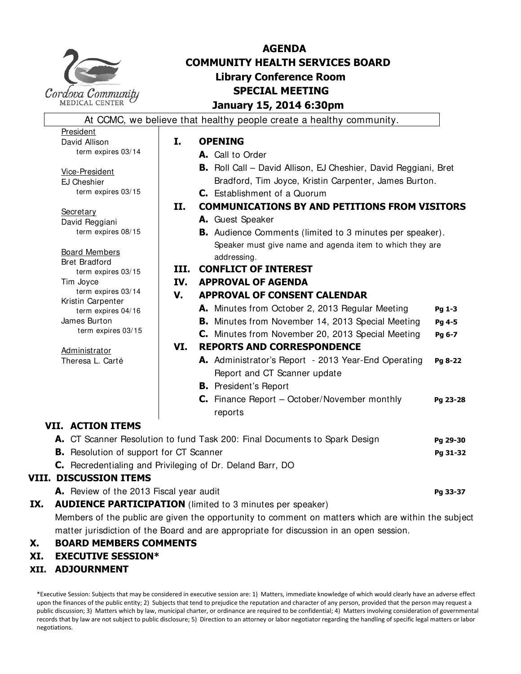

President David Allison

## **AGENDA COMMUNITY HEALTH SERVICES BOARD Library Conference Room SPECIAL MEETING January 15, 2014 6:30pm**

At CCMC, we believe that healthy people create a healthy community.

## **I. OPENING**

- **A.** Call to Order
- **B.** Roll Call David Allison, EJ Cheshier, David Reggiani, Bret Bradford, Tim Joyce, Kristin Carpenter, James Burton. **C.** Establishment of a Quorum
- **II. COMMUNICATIONS BY AND PETITIONS FROM VISITORS**
	- **A.** Guest Speaker
	- **B.** Audience Comments (limited to 3 minutes per speaker). Speaker must give name and agenda item to which they are addressing.

## **III. CONFLICT OF INTEREST**

## **IV. APPROVAL OF AGENDA**

- **V. APPROVAL OF CONSENT CALENDAR** 
	- **A.** Minutes from October 2, 2013 Regular Meeting **Pg 1-3**
	- **B.** Minutes from November 14, 2013 Special Meeting Pg 4-5
	- **C.** Minutes from November 20, 2013 Special Meeting **Pg 6-7**

## **VI. REPORTS AND CORRESPONDENCE**

- **A.** Administrator's Report 2013 Year-End Operating **Pg 8-22** Report and CT Scanner update
	- **B.** President's Report
	- **C.** Finance Report October/November monthly **Pg 23-28** reports

## **VII. ACTION ITEMS**

|  | A. CT Scanner Resolution to fund Task 200: Final Documents to Spark Design | Pg 29-30 |
|--|----------------------------------------------------------------------------|----------|
|  | <b>B.</b> Resolution of support for CT Scanner                             | Pg 31-32 |
|  | C. Recredentialing and Privileging of Dr. Deland Barr, DO                  |          |
|  | <b>VIII. DISCUSSION ITEMS</b>                                              |          |
|  | A. Review of the 2013 Fiscal year audit                                    | Pg 33-37 |

## **IX.** AUDIENCE PARTICIPATION (limited to 3 minutes per speaker)

Members of the public are given the opportunity to comment on matters which are within the subject matter jurisdiction of the Board and are appropriate for discussion in an open session.

## **X. BOARD MEMBERS COMMENTS**

## **XI. EXECUTIVE SESSION\***

## **XII. ADJOURNMENT**

\*Executive Session: Subjects that may be considered in executive session are: 1) Matters, immediate knowledge of which would clearly have an adverse effect upon the finances of the public entity; 2) Subjects that tend to prejudice the reputation and character of any person, provided that the person may request a public discussion; 3) Matters which by law, municipal charter, or ordinance are required to be confidential; 4) Matters involving consideration of governmental records that by law are not subject to public disclosure; 5) Direction to an attorney or labor negotiator regarding the handling of specific legal matters or labor negotiations.

EJ Cheshier term expires 03/15 **Secretary** 

Vice-President

term expires 03/14

David Reggiani term expires 08/15

Board Members Bret Bradford term expires 03/15 Tim Joyce term expires 03/14

Kristin Carpenter term expires 04/16 James Burton term expires 03/15

**Administrator** Theresa L. Carté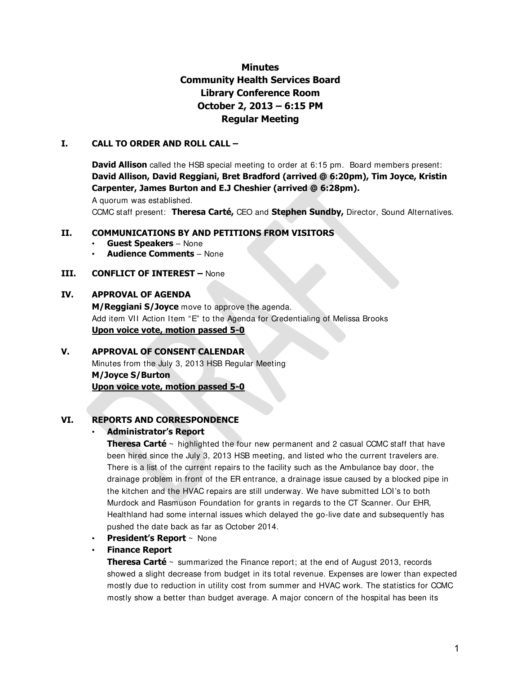## **Minutes Community Health Services Board Library Conference Room October 2, 2013 – 6:15 PM Regular Meeting**

## **I. CALL TO ORDER AND ROLL CALL –**

**David Allison** called the HSB special meeting to order at 6:15 pm. Board members present: **David Allison, David Reggiani, Bret Bradford (arrived @ 6:20pm), Tim Joyce, Kristin Carpenter, James Burton and E.J Cheshier (arrived @ 6:28pm).** 

A quorum was established.

CCMC staff present: **Theresa Carté,** CEO and **Stephen Sundby,** Director, Sound Alternatives.

## **II. COMMUNICATIONS BY AND PETITIONS FROM VISITORS**

- **Guest Speakers**  None
- **Audience Comments**  None

## **III. CONFLICT OF INTEREST –** None

## **IV. APPROVAL OF AGENDA**

**M/Reggiani S/Joyce** move to approve the agenda. Add item VII Action Item "E" to the Agenda for Credentialing of Melissa Brooks **Upon voice vote, motion passed 5-0**

## **V. APPROVAL OF CONSENT CALENDAR**

Minutes from the July 3, 2013 HSB Regular Meeting **M/Joyce S/Burton Upon voice vote, motion passed 5-0**

## **VI. REPORTS AND CORRESPONDENCE**

## • **Administrator's Report**

**Theresa Carté** ~ highlighted the four new permanent and 2 casual CCMC staff that have been hired since the July 3, 2013 HSB meeting, and listed who the current travelers are. There is a list of the current repairs to the facility such as the Ambulance bay door, the drainage problem in front of the ER entrance, a drainage issue caused by a blocked pipe in the kitchen and the HVAC repairs are still underway. We have submitted LOI's to both Murdock and Rasmuson Foundation for grants in regards to the CT Scanner. Our EHR, Healthland had some internal issues which delayed the go-live date and subsequently has pushed the date back as far as October 2014.

• **President's Report** ~ None

## • **Finance Report**

**Theresa Carté** ~ summarized the Finance report; at the end of August 2013, records showed a slight decrease from budget in its total revenue. Expenses are lower than expected mostly due to reduction in utility cost from summer and HVAC work. The statistics for CCMC mostly show a better than budget average. A major concern of the hospital has been its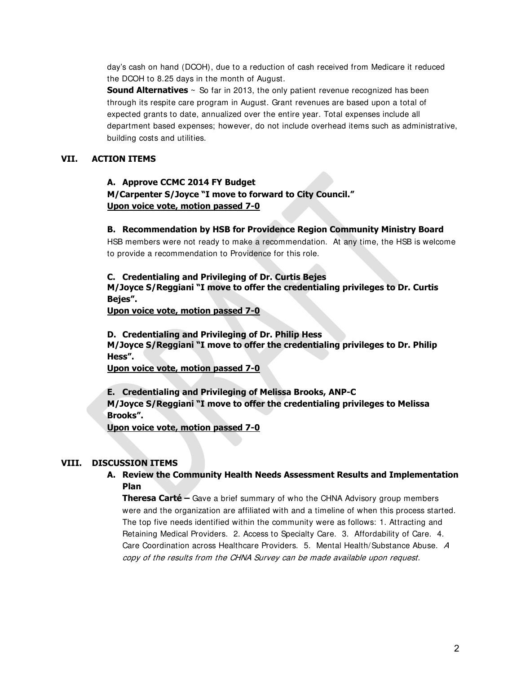day's cash on hand (DCOH), due to a reduction of cash received from Medicare it reduced the DCOH to 8.25 days in the month of August.

**Sound Alternatives**  $\sim$  So far in 2013, the only patient revenue recognized has been through its respite care program in August. Grant revenues are based upon a total of expected grants to date, annualized over the entire year. Total expenses include all department based expenses; however, do not include overhead items such as administrative, building costs and utilities.

## **VII. ACTION ITEMS**

## **A. Approve CCMC 2014 FY Budget M/Carpenter S/Joyce "I move to forward to City Council." Upon voice vote, motion passed 7-0**

## **B. Recommendation by HSB for Providence Region Community Ministry Board**

HSB members were not ready to make a recommendation. At any time, the HSB is welcome to provide a recommendation to Providence for this role.

## **C. Credentialing and Privileging of Dr. Curtis Bejes**

**M/Joyce S/Reggiani "I move to offer the credentialing privileges to Dr. Curtis Bejes".**

**Upon voice vote, motion passed 7-0**

**D. Credentialing and Privileging of Dr. Philip Hess M/Joyce S/Reggiani "I move to offer the credentialing privileges to Dr. Philip Hess".**

**Upon voice vote, motion passed 7-0**

**E. Credentialing and Privileging of Melissa Brooks, ANP-C** 

**M/Joyce S/Reggiani "I move to offer the credentialing privileges to Melissa Brooks".**

**Upon voice vote, motion passed 7-0**

## **VIII. DISCUSSION ITEMS**

## **A. Review the Community Health Needs Assessment Results and Implementation Plan**

**Theresa Carté –** Gave a brief summary of who the CHNA Advisory group members were and the organization are affiliated with and a timeline of when this process started. The top five needs identified within the community were as follows: 1. Attracting and Retaining Medical Providers. 2. Access to Specialty Care. 3. Affordability of Care. 4. Care Coordination across Healthcare Providers. 5. Mental Health/Substance Abuse. A copy of the results from the CHNA Survey can be made available upon request.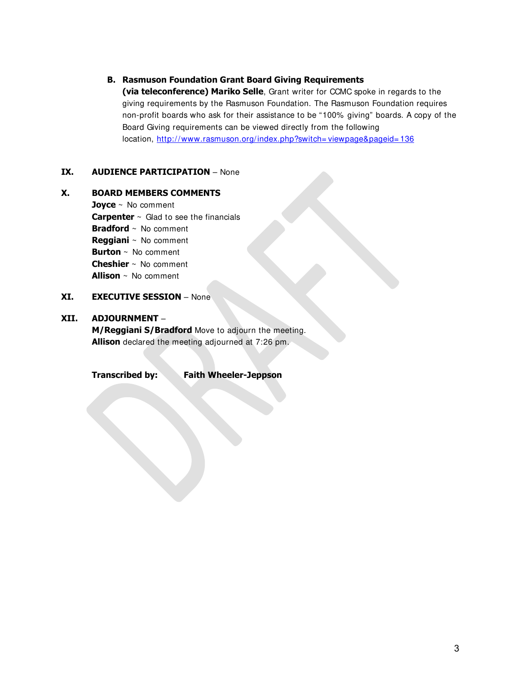## **B. Rasmuson Foundation Grant Board Giving Requirements**

**(via teleconference) Mariko Selle**, Grant writer for CCMC spoke in regards to the giving requirements by the Rasmuson Foundation. The Rasmuson Foundation requires non-profit boards who ask for their assistance to be "100% giving" boards. A copy of the Board Giving requirements can be viewed directly from the following location, [http://www.rasmuson.org/index.php?switch= viewpage&pageid= 136](http://www.rasmuson.org/index.php?switch=viewpage&pageid=136)

## **IX. AUDIENCE PARTICIPATION** – None

## **X. BOARD MEMBERS COMMENTS**

**Joyce** ~ No comment **Carpenter** ~ Glad to see the financials **Bradford** ~ No comment **Reggiani** ~ No comment **Burton** ~ No comment **Cheshier** ~ No comment **Allison** ~ No comment

## **XI. EXECUTIVE SESSION** – None

## **XII. ADJOURNMENT** –

**M/Reggiani S/Bradford** Move to adjourn the meeting. **Allison** declared the meeting adjourned at 7:26 pm.

**Transcribed by: Faith Wheeler-Jeppson**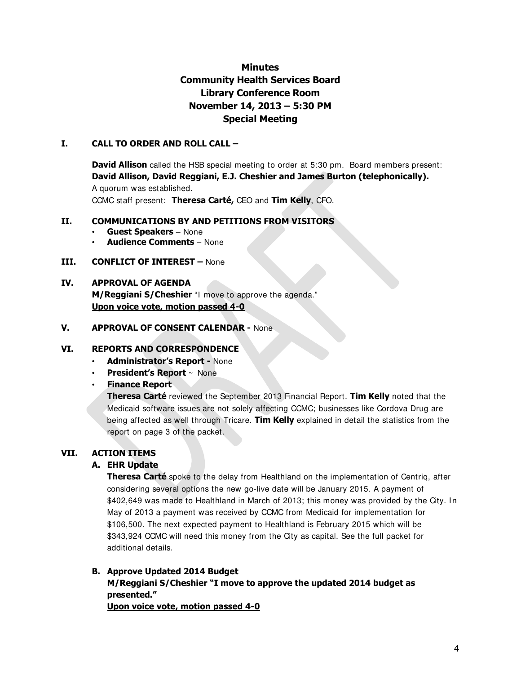## **Minutes Community Health Services Board Library Conference Room November 14, 2013 – 5:30 PM Special Meeting**

## **I. CALL TO ORDER AND ROLL CALL –**

**David Allison** called the HSB special meeting to order at 5:30 pm. Board members present: **David Allison, David Reggiani, E.J. Cheshier and James Burton (telephonically).**

A quorum was established.

CCMC staff present: **Theresa Carté,** CEO and **Tim Kelly**, CFO.

## **II. COMMUNICATIONS BY AND PETITIONS FROM VISITORS**

- **Guest Speakers**  None
- **Audience Comments**  None
- **III. CONFLICT OF INTEREST** None

## **IV. APPROVAL OF AGENDA**

**M/Reggiani S/Cheshier** "I move to approve the agenda." **Upon voice vote, motion passed 4-0**

## **V. APPROVAL OF CONSENT CALENDAR -** None

## **VI. REPORTS AND CORRESPONDENCE**

- **Administrator's Report** None
- **President's Report** ~ None
- **Finance Report**

**Theresa Carté** reviewed the September 2013 Financial Report. **Tim Kelly** noted that the Medicaid software issues are not solely affecting CCMC; businesses like Cordova Drug are being affected as well through Tricare. **Tim Kelly** explained in detail the statistics from the report on page 3 of the packet.

## **VII. ACTION ITEMS**

## **A. EHR Update**

**Theresa Carté** spoke to the delay from Healthland on the implementation of Centriq, after considering several options the new go-live date will be January 2015. A payment of \$402,649 was made to Healthland in March of 2013; this money was provided by the City. In May of 2013 a payment was received by CCMC from Medicaid for implementation for \$106,500. The next expected payment to Healthland is February 2015 which will be \$343,924 CCMC will need this money from the City as capital. See the full packet for additional details.

## **B. Approve Updated 2014 Budget M/Reggiani S/Cheshier "I move to approve the updated 2014 budget as presented." Upon voice vote, motion passed 4-0**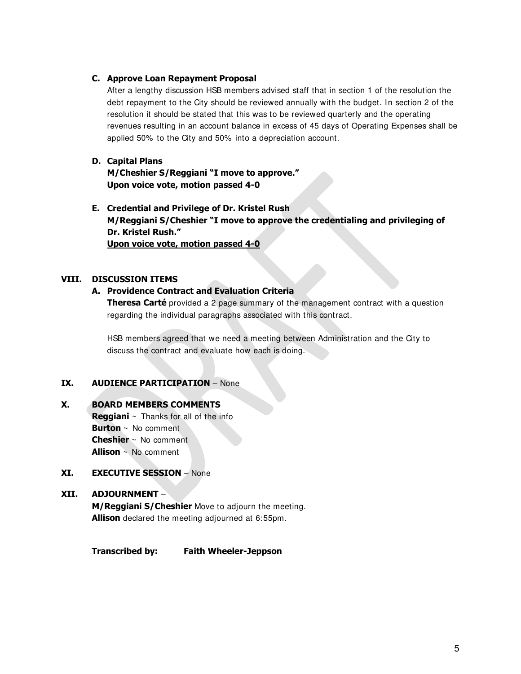## **C. Approve Loan Repayment Proposal**

After a lengthy discussion HSB members advised staff that in section 1 of the resolution the debt repayment to the City should be reviewed annually with the budget. In section 2 of the resolution it should be stated that this was to be reviewed quarterly and the operating revenues resulting in an account balance in excess of 45 days of Operating Expenses shall be applied 50% to the City and 50% into a depreciation account.

## **D. Capital Plans**

**M/Cheshier S/Reggiani "I move to approve." Upon voice vote, motion passed 4-0**

**E. Credential and Privilege of Dr. Kristel Rush M/Reggiani S/Cheshier "I move to approve the credentialing and privileging of Dr. Kristel Rush." Upon voice vote, motion passed 4-0**

## **VIII. DISCUSSION ITEMS**

## **A. Providence Contract and Evaluation Criteria**

**Theresa Carté** provided a 2 page summary of the management contract with a question regarding the individual paragraphs associated with this contract.

HSB members agreed that we need a meeting between Administration and the City to discuss the contract and evaluate how each is doing.

## **IX. AUDIENCE PARTICIPATION** – None

## **X. BOARD MEMBERS COMMENTS**

**Reggiani** ~ Thanks for all of the info **Burton** ~ No comment **Cheshier** ~ No comment **Allison** ~ No comment

## **XI. EXECUTIVE SESSION** – None

## **XII. ADJOURNMENT** –

**M/Reggiani S/Cheshier** Move to adjourn the meeting. **Allison** declared the meeting adjourned at 6:55pm.

## **Transcribed by: Faith Wheeler-Jeppson**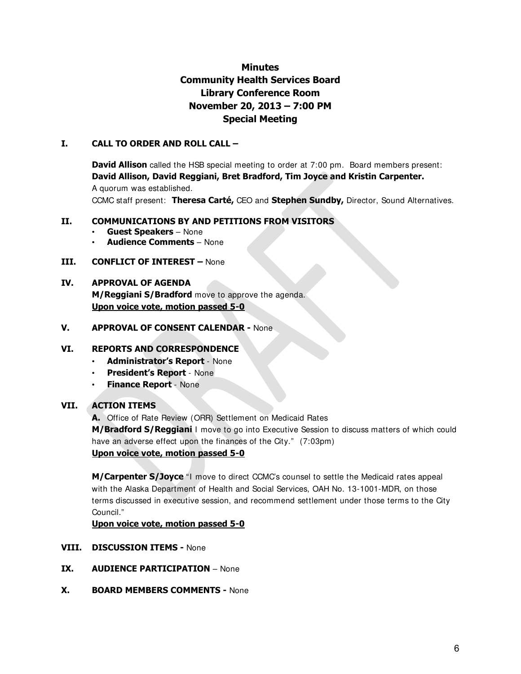## **Minutes Community Health Services Board Library Conference Room November 20, 2013 – 7:00 PM Special Meeting**

## **I. CALL TO ORDER AND ROLL CALL –**

**David Allison** called the HSB special meeting to order at 7:00 pm. Board members present: **David Allison, David Reggiani, Bret Bradford, Tim Joyce and Kristin Carpenter.** 

A quorum was established.

CCMC staff present: **Theresa Carté,** CEO and **Stephen Sundby,** Director, Sound Alternatives.

## **II. COMMUNICATIONS BY AND PETITIONS FROM VISITORS**

- **Guest Speakers**  None
- **Audience Comments**  None
- **III. CONFLICT OF INTEREST** None

## **IV. APPROVAL OF AGENDA**

**M/Reggiani S/Bradford** move to approve the agenda. **Upon voice vote, motion passed 5-0**

## **V. APPROVAL OF CONSENT CALENDAR -** None

## **VI. REPORTS AND CORRESPONDENCE**

- **Administrator's Report**  None
- **President's Report**  None
- **Finance Report**  None

## **VII. ACTION ITEMS**

**A.** Office of Rate Review (ORR) Settlement on Medicaid Rates

**M/Bradford S/Reggiani** I move to go into Executive Session to discuss matters of which could have an adverse effect upon the finances of the City." (7:03pm)

## **Upon voice vote, motion passed 5-0**

**M/Carpenter S/Joyce** "I move to direct CCMC's counsel to settle the Medicaid rates appeal with the Alaska Department of Health and Social Services, OAH No. 13-1001-MDR, on those terms discussed in executive session, and recommend settlement under those terms to the City Council."

**Upon voice vote, motion passed 5-0**

- **VIII. DISCUSSION ITEMS** None
- **IX. AUDIENCE PARTICIPATION** None
- **X. BOARD MEMBERS COMMENTS -** None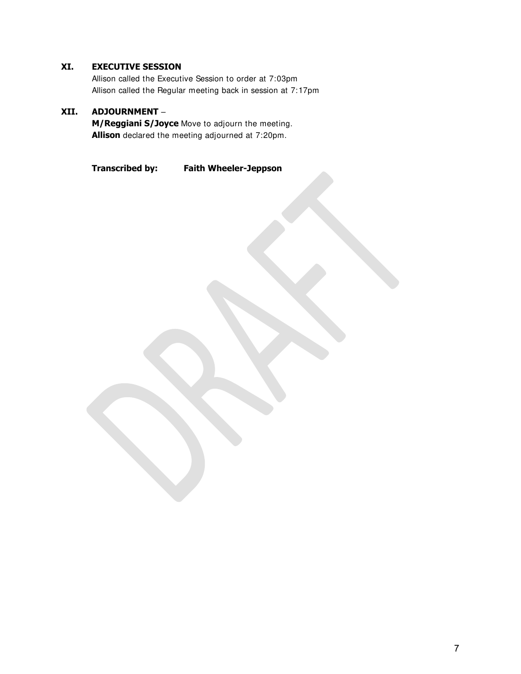## **XI. EXECUTIVE SESSION**

Allison called the Executive Session to order at 7:03pm Allison called the Regular meeting back in session at 7:17pm

## **XII. ADJOURNMENT** –

**M/Reggiani S/Joyce** Move to adjourn the meeting. **Allison** declared the meeting adjourned at 7:20pm.

**Transcribed by: Faith Wheeler-Jeppson**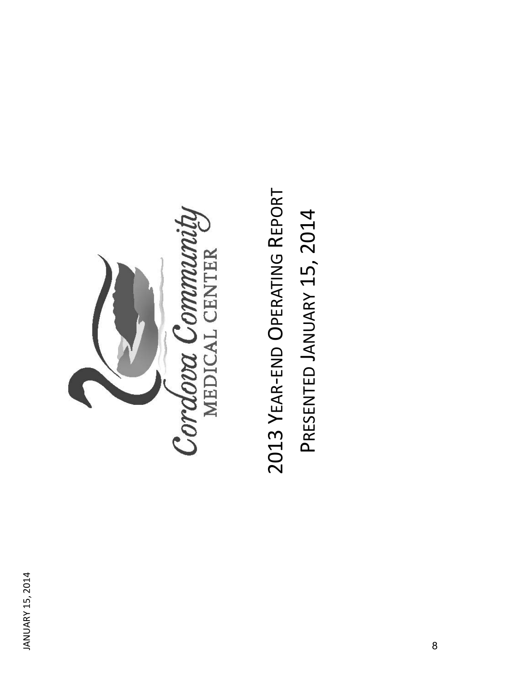

2013 YEAR-END OPERATING REPORT 2013 YEAR-END OPERATING REPORT PRESENTED JANUARY 15, 2014 PRESENTED JANUARY 15, 2014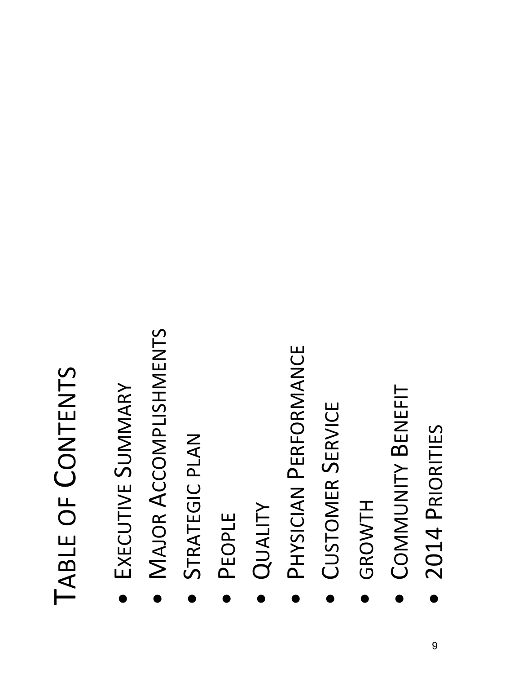## TABLE OF CONTENTS TABLE OF CONTENTS

- EXECUTIVE SUMMARY EXECUTIVE SUMMARY •
- **MAJOR ACCOMPLISHMENTS**  MAJOR ACCOMPLISHMENTS •
	- STRATEGIC PLAN STRATEGIC PLAN •
- •PEOPLE
- •QUALITY
- PHYSICIAN PERFORMANCE PHYSICIAN PERFORMANCE •
- **CUSTOMER SERVICE**  CUSTOMER SERVICE •
- •GROWTH
- COMMUNITY BENEFIT **COMMUNITY BENEFIT** •
	- 2014 PRIORITIES **· 2014 PRIORITIES** •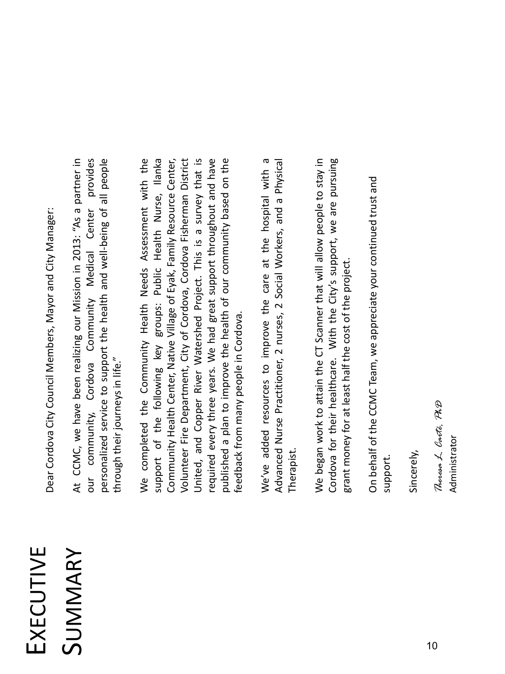## EXECUTIVE SUMMARY

Dear Cordova City Council Members, Mayor and City Manager: Dear Cordova City Council Members, Mayor and City Manager:

our community, Cordova Community Medical Center provides At CCMC, we have been realizing our Mission in 2013: "As a partner in bersonalized service to support the health and well-being of all people At CCMC, we have been realizing our Mission in 2013: "As a partner in our community, Cordova Community Medical Center provides personalized service to support the health and well-being of all people through their journeys in life." through their journeys in life."

support of the following key groups: Public Health Nurse, Ilanka Jnited, and Copper River Watershed Project. This is a survey that is required every three years. We had great support throughout and have We completed the Community Health Needs Assessment with the Community Health Center, Native Village of Eyak, Family Resource Center, oublished a plan to improve the health of our community based on the We completed the Community Health Needs Assessment with the support of the following key groups: Public Health Nurse, Ilanka Community Health Center, Native Village of Eyak, Family Resource Center, Volunteer Fire Department, City of Cordova, Cordova Fisherman District Volunteer Fire Department, City of Cordova, Cordova Fisherman District United, and Copper River Watershed Project. This is a survey that is required every three years. We had great support throughout and have published a plan to improve the health of our community based on the feedback from many people in Cordova. eedback from many people in Cordova.

We've added resources to improve the care at the hospital with a We've added resources to improve the care at the hospital with a Advanced Nurse Practitioner, 2 nurses, 2 Social Workers, and a Physical Advanced Nurse Practitioner, 2 nurses, 2 Social Workers, and a Physical **Therapist** 

We began work to attain the CT Scanner that will allow people to stay in Cordova for their healthcare. With the City's support, we are pursuing We began work to attain the CT Scanner that will allow people to stay in Cordova for their healthcare. With the City's support, we are pursuing grant money for at least half the cost of the project. grant money for at least half the cost of the project.

On behalf of the CCMC Team, we appreciate your continued trust and On behalf of the CCMC Team, we appreciate your continued trust and support.

Sincerely,

Theresa L. Carté, PhB *Theresa L. Carté, PhD* Administrator Administrator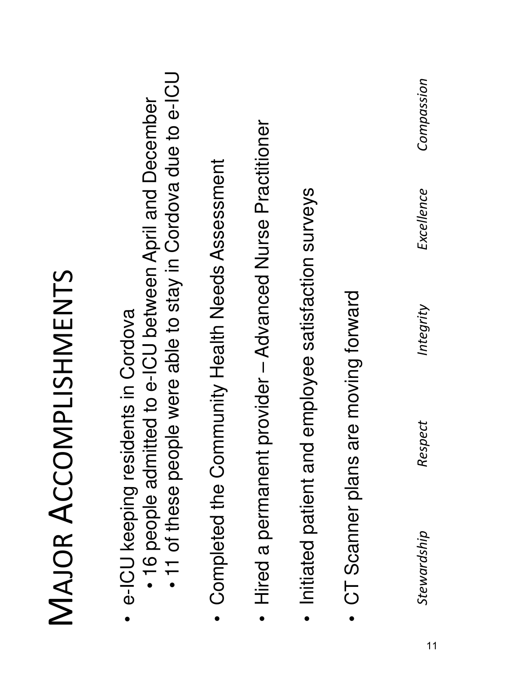| people were able to stay in Cordova due to e-ICU<br>admitted to e-ICU between April and December<br>nent provider - Advanced Nurse Practitioner<br>Community Health Needs Assessment<br>Initiated patient and employee satisfaction surveys<br>residents in Cordova<br>Completed the<br>e-ICU keeping<br>. 11 of these<br>Hired a perma<br>· 16 people | MAJOR ACCOMPLISHMENTS |
|--------------------------------------------------------------------------------------------------------------------------------------------------------------------------------------------------------------------------------------------------------------------------------------------------------------------------------------------------------|-----------------------|
|                                                                                                                                                                                                                                                                                                                                                        |                       |
|                                                                                                                                                                                                                                                                                                                                                        |                       |
|                                                                                                                                                                                                                                                                                                                                                        |                       |
|                                                                                                                                                                                                                                                                                                                                                        |                       |
| ans are moving forward<br>CT Scanner pl                                                                                                                                                                                                                                                                                                                |                       |
| Compassion<br>Excellence<br>Integrity<br>Respect<br>Stewardship                                                                                                                                                                                                                                                                                        |                       |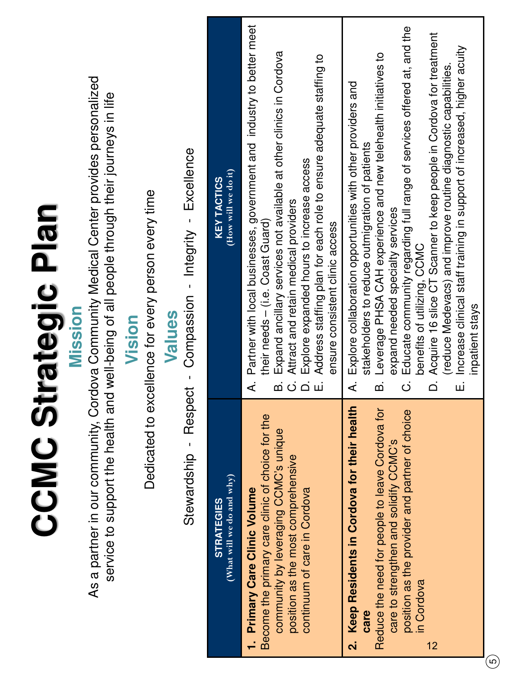| As a partner in our community, Cordova Community Medical Center provides personalized<br>service to support the health and well-being of all people through their journeys in life<br>Compassion - Integrity - Excellence<br>Dedicated to excellence for every person every time<br><b>Strategic Plan</b><br>Mission<br>Values<br>Vision | (How will we do it)<br><b>KEY TACTICS</b>      | Partner with local businesses, government and industry to better meet<br>Expand ancillary services not available at other clinics in Cordova<br>Address staffing plan for each role to ensure adequate staffing to<br>Explore expanded hours to increase access<br>Attract and retain medical providers<br>their needs - (i.e. Coast Guard)<br>ensure consistent clinic access<br>خ<br>b.<br>$\dot{\circ}$<br>் ய | Educate community regarding full range of services offered at, and the<br>benefits of utilizing, CCMC<br>Acquire 16 slice CT Scanner to keep people in Cordova for treatment<br>Increase clinical staff training in support of increased, higher acuity<br>Leverage PHSA CAH experience and new telehealth initiatives to<br>reduce Medevacs) and improve routine diagnostic capabilities<br>Explore collaboration opportunities with other providers and<br>stakeholders to reduce outmigration of patients<br>expand needed specialty services<br>inpatient stays<br>$\dot{\circ}$<br>$\overline{\Omega}$<br>خ<br>b<br>шİ |
|------------------------------------------------------------------------------------------------------------------------------------------------------------------------------------------------------------------------------------------------------------------------------------------------------------------------------------------|------------------------------------------------|-------------------------------------------------------------------------------------------------------------------------------------------------------------------------------------------------------------------------------------------------------------------------------------------------------------------------------------------------------------------------------------------------------------------|-----------------------------------------------------------------------------------------------------------------------------------------------------------------------------------------------------------------------------------------------------------------------------------------------------------------------------------------------------------------------------------------------------------------------------------------------------------------------------------------------------------------------------------------------------------------------------------------------------------------------------|
| Respect -<br>CCMC<br>Stewardship -                                                                                                                                                                                                                                                                                                       | (What will we do and why)<br><b>STRATEGIES</b> | Become the primary care clinic of choice for the<br>community by leveraging CCMC's unique<br>position as the most comprehensive<br>continuum of care in Cordova<br><b>Primary Care Clinic Volume</b><br>F                                                                                                                                                                                                         | Keep Residents in Cordova for their health<br>Reduce the need for people to leave Cordova for<br>position as the provider and partner of choice<br>care to strengthen and solidify CCMC's<br>in Cordova<br>care<br>$\overline{\mathbf{N}}$<br>12<br>$\overline{\omega}$                                                                                                                                                                                                                                                                                                                                                     |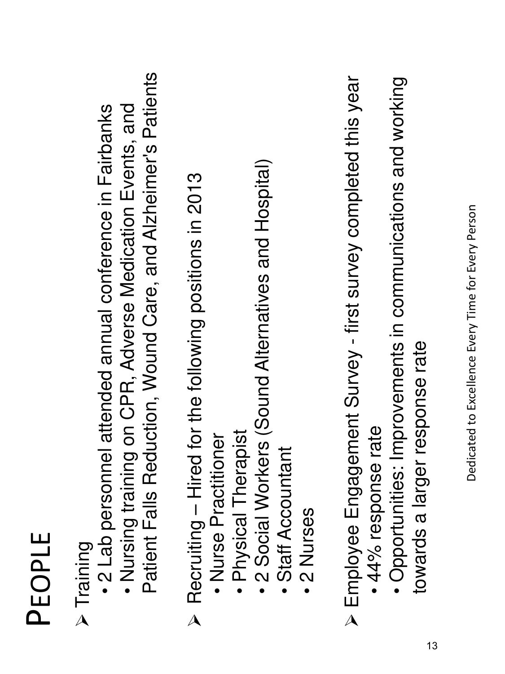| ப                  |  |
|--------------------|--|
|                    |  |
| С                  |  |
| $(\hspace{0.2cm})$ |  |
| $\mathbb{R}^n$     |  |
|                    |  |

- P Training<br>βחinip T
- 2 Lab personnel attended annual conference in Fairbanks
- Patient Falls Reduction, Wound Care, and Alzheimer's Patients Patient Falls Reduction, Wound Care, and Alzheimer's Patients • Nursing training on CPR, Adverse Medication Events, and • Nursing training on CPR, Adverse Medication Events, and
- $\triangleright$  Recruiting Hired for the following positions in 2013  $\triangleright$  Recruiting – Hired for the following positions in 2013
	- · Nurse Practitioner • Nurse Practitioner
- · Physical Therapist • Physical Therapist
- 2 Social Workers (Sound Alternatives and Hospital) • 2 Social Workers (Sound Alternatives and Hospital)
	- · Staff Accountant • Staff Accountant
		- •2 Nurses
- > Employee Engagement Survey first survey completed this year Employee Engagement Survey - first survey completed this year 44% response rate • 44% response rate
	- Opportunities: Improvements in communications and working · Opportunities: Improvements in communications and working towards a larger response rate ards a larger response rate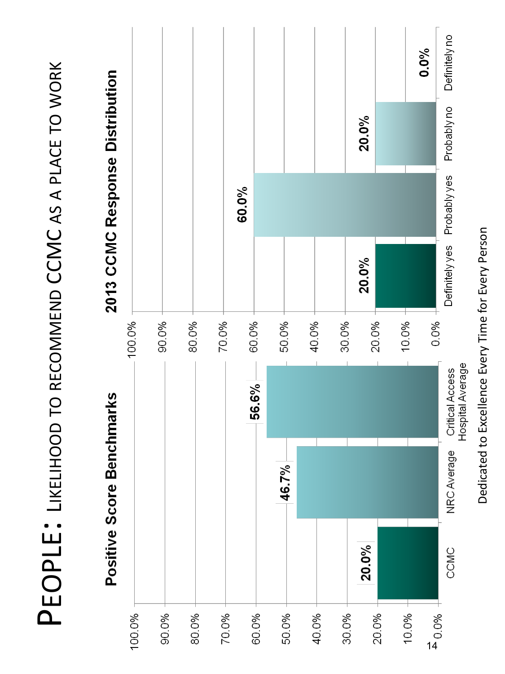PEOPLE: LIKELIHOOD TO RECOMMEND CCMC AS A PLACE TO WORK PEOPLE: LIKELIHOOD TO RECOMMEND CCMC AS A PLACE TO WORK



Dedicated to Excellence Every Time for Every Person Dedicated to Excellence Every Time for Every Person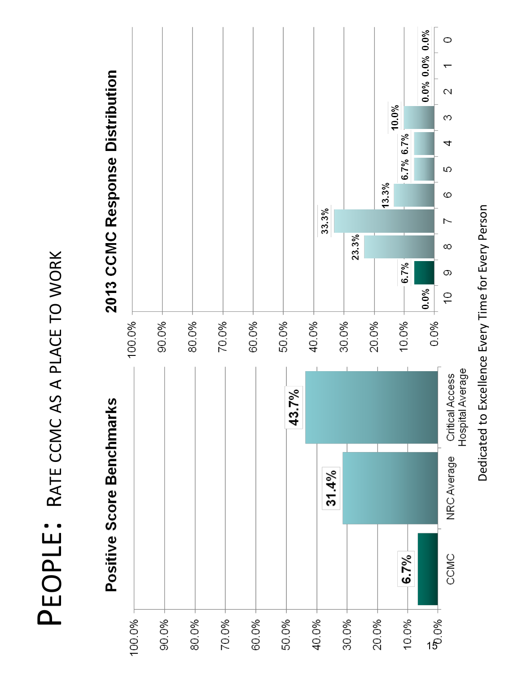PEOPLE: RATE CCMC AS A PLACE TO WORK PEOPLE: RATE CCMC AS A PLACE TO WORK

![](_page_15_Figure_1.jpeg)

Dedicated to Excellence Every Time for Every Person Dedicated to Excellence Every Time for Every Person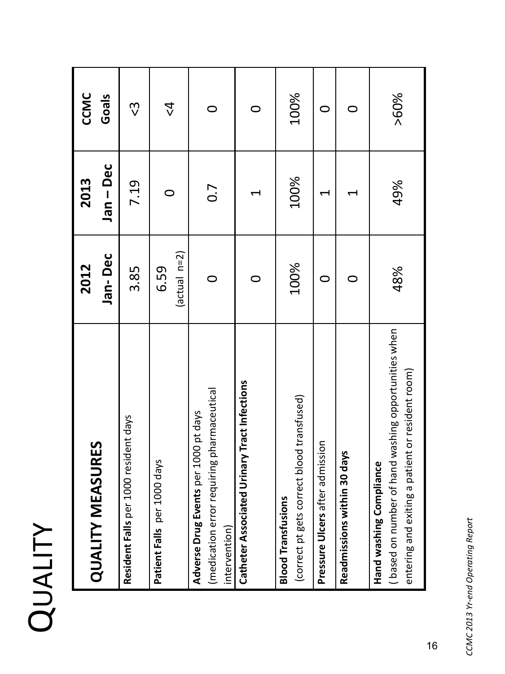| $\mathbf{f}$             |
|--------------------------|
|                          |
| $\overline{\phantom{0}}$ |
|                          |

| <b>QUALITY MEASURES</b>                                                                                                                       | 2012            | 2013                  | CCMC                  |
|-----------------------------------------------------------------------------------------------------------------------------------------------|-----------------|-----------------------|-----------------------|
|                                                                                                                                               | Jan-Dec         | Jan-Dec               | Goals                 |
| Resident Falls per 1000 resident days                                                                                                         | 3.85            | 7.19                  | <u>၃</u>              |
| Patient Falls per 1000 days                                                                                                                   | 6.59            | $\bigcirc$            | $\overset{4}{\Delta}$ |
|                                                                                                                                               | $(\arctan n=2)$ |                       |                       |
| (medication error requiring pharmaceutical<br>per 1000 pt days<br>Adverse Drug Events<br>intervention)                                        |                 | 0.7                   | $\circ$               |
| Jrinary Tract Infections<br>Catheter Associated                                                                                               |                 | $\blacktriangleright$ | 0                     |
| (correct pt gets correct blood transfused)<br><b>Blood Transfusions</b>                                                                       | 100%            | 100%                  | 100%                  |
| admission<br>Pressure Ulcers after                                                                                                            | 0               | ↤                     | 0                     |
| 30 days<br>Readmissions within                                                                                                                |                 | ↤                     | 0                     |
| hand washing opportunities when<br>patient or resident room)<br>liance<br>(based on number of<br>entering and exiting a<br>Hand washing Compl | 48%             | 49%                   | >60%                  |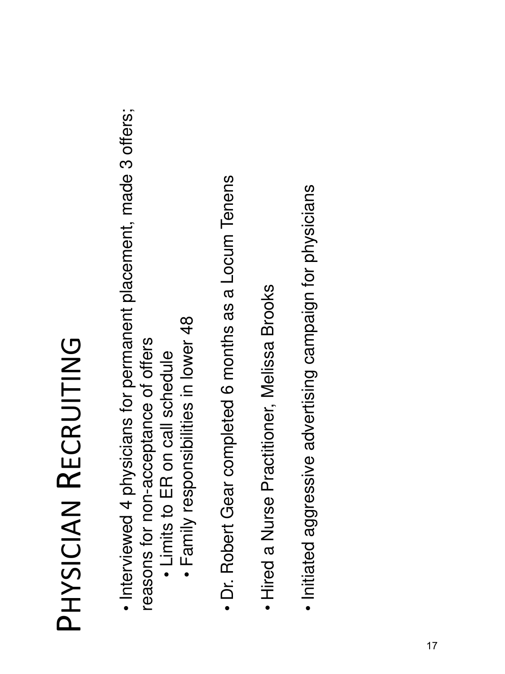## PHYSICIAN<br>RECRUITING PHYSICIAN RECRUITING

- Interviewed 4 physicians for permanent placement, made 3 offers; · Interviewed 4 physicians for permanent placement, made 3 offers; reasons for non-acceptance of offers reasons for non-acceptance of offers
	- Limits to ER on call schedule • Limits to ER on call schedule
- · Family responsibilities in lower 48 • Family responsibilities in lower 48
- · Dr. Robert Gear completed 6 months as a Locum Tenens • Dr. Robert Gear completed 6 months as a Locum Tenens
- · Hired a Nurse Practitioner, Melissa Brooks • Hired a Nurse Practitioner, Melissa Brooks
- · Initiated aggressive advertising campaign for physicians • Initiated aggressive advertising campaign for physicians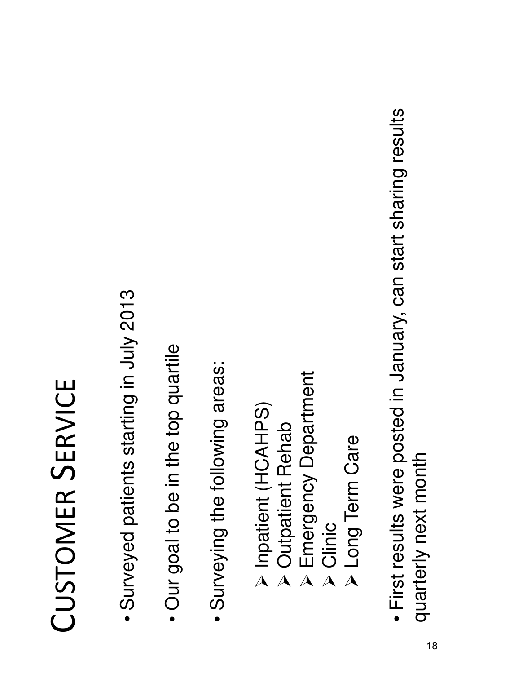## CUSTOMER SERVICE CUSTOMER SERVICE

- · Surveyed patients starting in July 2013 • Surveyed patients starting in July 2013
- Our goal to be in the top quartile • Our goal to be in the top quartile
- · Surveying the following areas: • Surveying the following areas:
- (SOHNOH) tueingdul A Inpatient (HCAHPS)
	- > Outpatient Rehab Outpatient Rehab
- **> Emergency Department**  Emergency Department
	- Clinic<br>A<br>A
- > Long Term Care Long Term Care
- First results were posted in January, can start sharing results · First results were posted in January, can start sharing results quarterly next month quarterly next month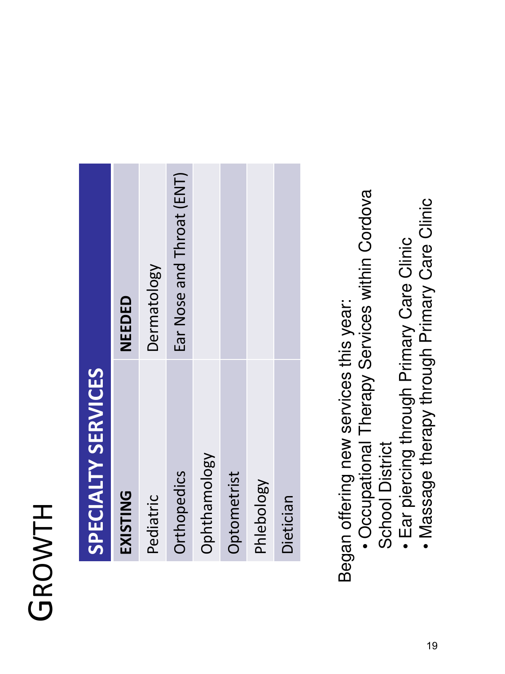## GROWTH

| $\frac{1}{3}$                                                                                                        |  |
|----------------------------------------------------------------------------------------------------------------------|--|
| <b>Contract Contract Contract Contract Contract Contract Contract Contract Contract Contract Contract Contract C</b> |  |
| $\frac{1}{2}$                                                                                                        |  |
|                                                                                                                      |  |
| l<br>ر                                                                                                               |  |
| Į                                                                                                                    |  |
| ļ                                                                                                                    |  |
|                                                                                                                      |  |

| <b>EXISTING</b> | NEEDED                    |
|-----------------|---------------------------|
| Pediatric       | Dermatology               |
| Orthopedics     | Ear Nose and Throat (ENT) |
| Ophthamology    |                           |
| Optometrist     |                           |
| Phlebology      |                           |
| Dietician       |                           |
|                 |                           |

Began offering new services this year: Began offering new services this year:

- Occupational Therapy Services within Cordova · Occupational Therapy Services within Cordova School District School District
	- · Ear piercing through Primary Care Clinic • Ear piercing through Primary Care Clinic
- Massage therapy through Primary Care Clinic • Massage therapy through Primary Care Clinic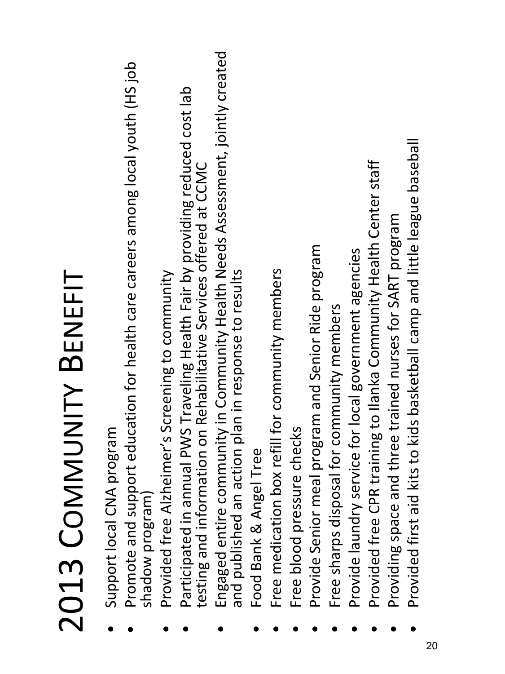# 2013 COMMUNITY BENEFIT 2013 COMMUNITY BENEFIT

- Support local CNA program Support local CNA program •
- Promote and support education for health care careers among local youth (HS job Promote and support education for health care careers among local youth (HS job shadow program) shadow program) •
	- Provided free Alzheimer's Screening to community Provided free Alzheimer's Screening to community •
- Participated in annual PWS Traveling Health Fair by providing reduced cost lab Participated in annual PWS Traveling Health Fair by providing reduced cost lab testing and information on Rehabilitative Services offered at CCMC testing and information on Rehabilitative Services offered at CCMC •
- Engaged entire community in Community Health Needs Assessment, jointly created Engaged entire community in Community Health Needs Assessment, jointly created and published an action plan in response to results and published an action plan in response to results •
	- Food Bank & Angel Tree Food Bank & Angel Tree •
- Free medication box refill for community members Free medication box refill for community members •
	- Free blood pressure checks Free blood pressure checks •
- Provide Senior meal program and Senior Ride program **Provide Senior meal program and Senior Ride program**<br> **C** Fase above discussed for a community means and community •
	- Free sharps disposal for community members Free sharps disposal for community members •
- Provide laundry service for local government agencies Provide laundry service for local government agencies •
- Provided free CPR training to Ilanka Community Health Center staff Provided free CPR training to Ilanka Community Health Center staff •
	- Providing space and three trained nurses for SART program ● Providing space and three trained nurses for SART program<br>- nastided films at lite to lide beckerhold comments in the less •
- Provided first aid kits to kids basketball camp and little league baseball Provided first aid kits to kids basketball camp and little league baseball •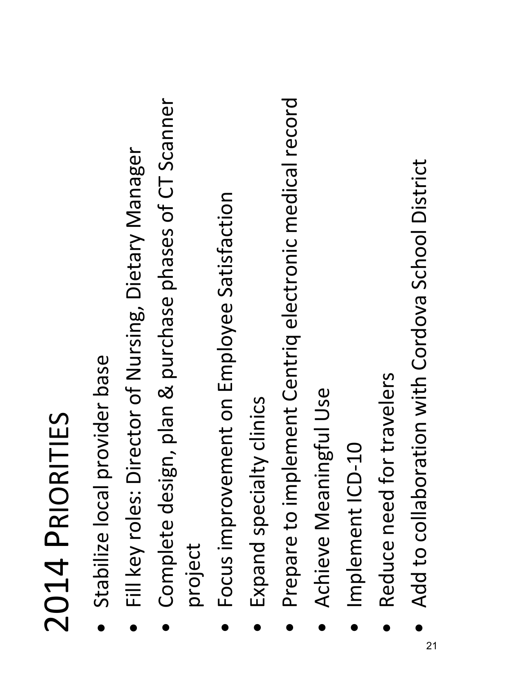## 2014 PRIORITIES 2014 PRIORITIES

- Stabilize local provider base Stabilize local provider base •
- Fill key roles: Director of Nursing, Dietary Manager Fill key roles: Director of Nursing, Dietary Manager •
- Complete design, plan & purchase phases of CT Scanner Complete design, plan & purchase phases of CT Scanner project •
- Focus improvement on Employee Satisfaction Focus improvement on Employee Satisfaction •
- Expand specialty clinics Expand specialty clinics •
- Prepare to implement Centriq electronic medical record Prepare to implement Centriq electronic medical record •
- Achieve Meaningful Use Achieve Meaningful Use •
- Implement ICD-10 Implement ICD-10 •
- Reduce need for travelers Reduce need for travelers •
- Add to collaboration with Cordova School District Add to collaboration with Cordova School District •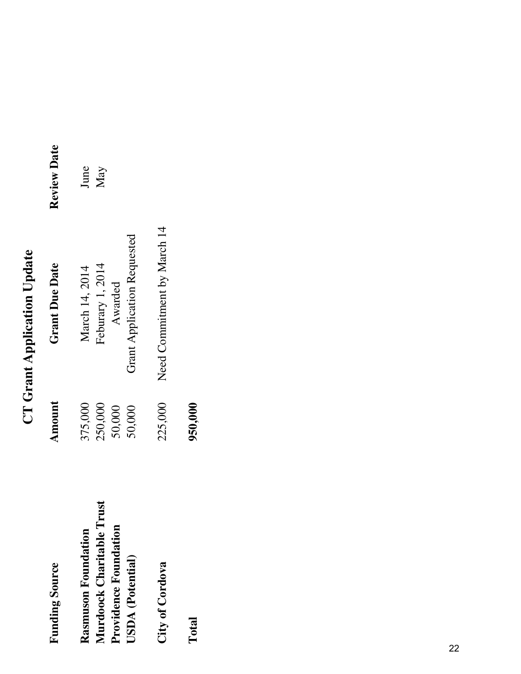## **CT Grant Application Update CT Grant Application Update**

| <b>Funding Source</b>         | Amount  | <b>Grant Due Date</b>       | <b>Review Date</b> |
|-------------------------------|---------|-----------------------------|--------------------|
| Rasmuson Foundation           | 375,000 | March 14, 2014              | June               |
| rust<br>Murdoock Charitable T | 250,000 | Feburary 1, 2014            | May                |
| <b>Providence Foundation</b>  | 50,000  | Awarded                     |                    |
| USDA (Potential)              | 50,000  | Grant Application Requested |                    |
| City of Cordova               | 225,000 | Need Commitment by March 14 |                    |
| Total                         | 950,000 |                             |                    |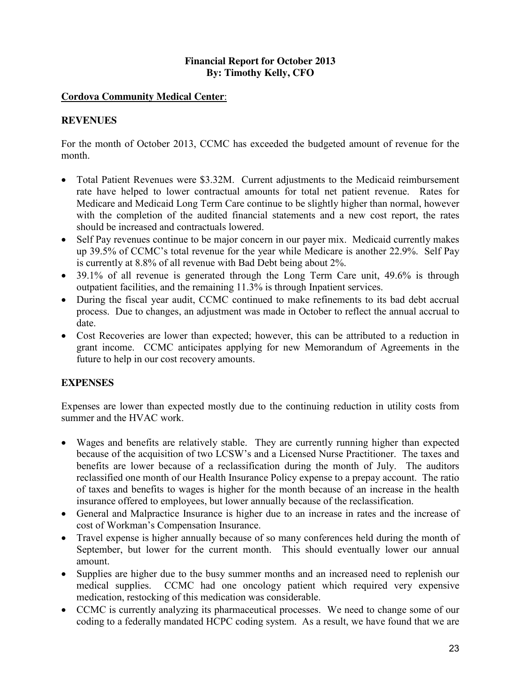## **Financial Report for October 2013 By: Timothy Kelly, CFO**

## **Cordova Community Medical Center**:

## **REVENUES**

For the month of October 2013, CCMC has exceeded the budgeted amount of revenue for the month.

- Total Patient Revenues were \$3.32M. Current adjustments to the Medicaid reimbursement rate have helped to lower contractual amounts for total net patient revenue. Rates for Medicare and Medicaid Long Term Care continue to be slightly higher than normal, however with the completion of the audited financial statements and a new cost report, the rates should be increased and contractuals lowered.
- Self Pay revenues continue to be major concern in our payer mix. Medicaid currently makes up 39.5% of CCMC's total revenue for the year while Medicare is another 22.9%. Self Pay is currently at 8.8% of all revenue with Bad Debt being about 2%.
- 39.1% of all revenue is generated through the Long Term Care unit, 49.6% is through outpatient facilities, and the remaining 11.3% is through Inpatient services.
- During the fiscal year audit, CCMC continued to make refinements to its bad debt accrual process. Due to changes, an adjustment was made in October to reflect the annual accrual to date.
- Cost Recoveries are lower than expected; however, this can be attributed to a reduction in grant income. CCMC anticipates applying for new Memorandum of Agreements in the future to help in our cost recovery amounts.

## **EXPENSES**

Expenses are lower than expected mostly due to the continuing reduction in utility costs from summer and the HVAC work.

- Wages and benefits are relatively stable. They are currently running higher than expected because of the acquisition of two LCSW's and a Licensed Nurse Practitioner. The taxes and benefits are lower because of a reclassification during the month of July. The auditors reclassified one month of our Health Insurance Policy expense to a prepay account. The ratio of taxes and benefits to wages is higher for the month because of an increase in the health insurance offered to employees, but lower annually because of the reclassification.
- General and Malpractice Insurance is higher due to an increase in rates and the increase of cost of Workman's Compensation Insurance.
- Travel expense is higher annually because of so many conferences held during the month of September, but lower for the current month. This should eventually lower our annual amount.
- Supplies are higher due to the busy summer months and an increased need to replenish our medical supplies. CCMC had one oncology patient which required very expensive medication, restocking of this medication was considerable.
- CCMC is currently analyzing its pharmaceutical processes. We need to change some of our coding to a federally mandated HCPC coding system. As a result, we have found that we are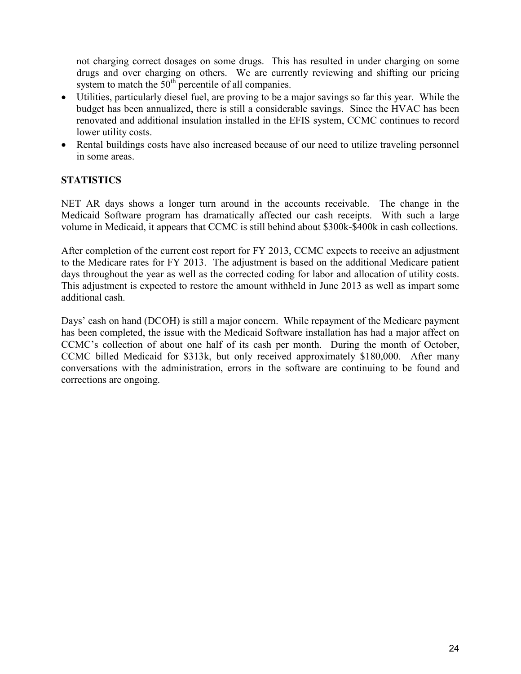not charging correct dosages on some drugs. This has resulted in under charging on some drugs and over charging on others. We are currently reviewing and shifting our pricing system to match the  $50<sup>th</sup>$  percentile of all companies.

- Utilities, particularly diesel fuel, are proving to be a major savings so far this year. While the budget has been annualized, there is still a considerable savings. Since the HVAC has been renovated and additional insulation installed in the EFIS system, CCMC continues to record lower utility costs.
- Rental buildings costs have also increased because of our need to utilize traveling personnel in some areas.

## **STATISTICS**

NET AR days shows a longer turn around in the accounts receivable. The change in the Medicaid Software program has dramatically affected our cash receipts. With such a large volume in Medicaid, it appears that CCMC is still behind about \$300k-\$400k in cash collections.

After completion of the current cost report for FY 2013, CCMC expects to receive an adjustment to the Medicare rates for FY 2013. The adjustment is based on the additional Medicare patient days throughout the year as well as the corrected coding for labor and allocation of utility costs. This adjustment is expected to restore the amount withheld in June 2013 as well as impart some additional cash.

Days' cash on hand (DCOH) is still a major concern. While repayment of the Medicare payment has been completed, the issue with the Medicaid Software installation has had a major affect on CCMC's collection of about one half of its cash per month. During the month of October, CCMC billed Medicaid for \$313k, but only received approximately \$180,000. After many conversations with the administration, errors in the software are continuing to be found and corrections are ongoing.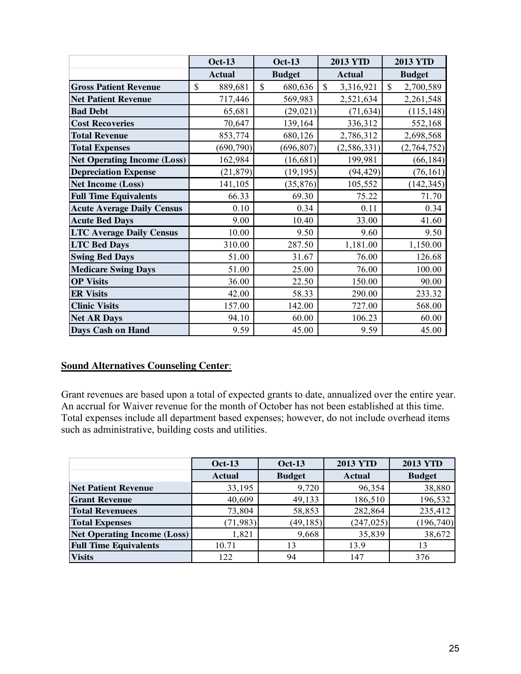|                                    | <b>Oct-13</b> | <b>Oct-13</b>           | <b>2013 YTD</b>            | <b>2013 YTD</b>           |
|------------------------------------|---------------|-------------------------|----------------------------|---------------------------|
|                                    | <b>Actual</b> | <b>Budget</b>           | <b>Actual</b>              | <b>Budget</b>             |
| <b>Gross Patient Revenue</b>       | \$<br>889,681 | $\mathbb{S}$<br>680,636 | $\mathcal{S}$<br>3,316,921 | $\mathbb{S}$<br>2,700,589 |
| <b>Net Patient Revenue</b>         | 717,446       | 569,983                 | 2,521,634                  | 2,261,548                 |
| <b>Bad Debt</b>                    | 65,681        | (29, 021)               | (71, 634)                  | (115, 148)                |
| <b>Cost Recoveries</b>             | 70,647        | 139,164                 | 336,312                    | 552,168                   |
| <b>Total Revenue</b>               | 853,774       | 680,126                 | 2,786,312                  | 2,698,568                 |
| <b>Total Expenses</b>              | (690, 790)    | (696, 807)              | (2, 586, 331)              | (2,764,752)               |
| <b>Net Operating Income (Loss)</b> | 162,984       | (16, 681)               | 199,981                    | (66, 184)                 |
| <b>Depreciation Expense</b>        | (21, 879)     | (19, 195)               | (94, 429)                  | (76, 161)                 |
| <b>Net Income (Loss)</b>           | 141,105       | (35, 876)               | 105,552                    | (142, 345)                |
| <b>Full Time Equivalents</b>       | 66.33         | 69.30                   | 75.22                      | 71.70                     |
| <b>Acute Average Daily Census</b>  | 0.10          | 0.34                    | 0.11                       | 0.34                      |
| <b>Acute Bed Days</b>              | 9.00          | 10.40                   | 33.00                      | 41.60                     |
| <b>LTC Average Daily Census</b>    | 10.00         | 9.50                    | 9.60                       | 9.50                      |
| <b>LTC Bed Days</b>                | 310.00        | 287.50                  | 1,181.00                   | 1,150.00                  |
| <b>Swing Bed Days</b>              | 51.00         | 31.67                   | 76.00                      | 126.68                    |
| <b>Medicare Swing Days</b>         | 51.00         | 25.00                   | 76.00                      | 100.00                    |
| <b>OP Visits</b>                   | 36.00         | 22.50                   | 150.00                     | 90.00                     |
| <b>ER Visits</b>                   | 42.00         | 58.33                   | 290.00                     | 233.32                    |
| <b>Clinic Visits</b>               | 157.00        | 142.00                  | 727.00                     | 568.00                    |
| <b>Net AR Days</b>                 | 94.10         | 60.00                   | 106.23                     | 60.00                     |
| <b>Days Cash on Hand</b>           | 9.59          | 45.00                   | 9.59                       | 45.00                     |

## **Sound Alternatives Counseling Center**:

Grant revenues are based upon a total of expected grants to date, annualized over the entire year. An accrual for Waiver revenue for the month of October has not been established at this time. Total expenses include all department based expenses; however, do not include overhead items such as administrative, building costs and utilities.

|                                    | $Oct-13$      | <b>Oct-13</b> | <b>2013 YTD</b> | <b>2013 YTD</b> |
|------------------------------------|---------------|---------------|-----------------|-----------------|
|                                    | <b>Actual</b> | <b>Budget</b> | <b>Actual</b>   | <b>Budget</b>   |
| <b>Net Patient Revenue</b>         | 33,195        | 9,720         | 96,354          | 38,880          |
| <b>Grant Revenue</b>               | 40,609        | 49,133        | 186,510         | 196,532         |
| <b>Total Revenuees</b>             | 73,804        | 58,853        | 282,864         | 235,412         |
| <b>Total Expenses</b>              | (71, 983)     | (49, 185)     | (247, 025)      | (196, 740)      |
| <b>Net Operating Income (Loss)</b> | 1,821         | 9,668         | 35,839          | 38,672          |
| <b>Full Time Equivalents</b>       | 10.71         |               | 13.9            | 13              |
| <b>Visits</b>                      | 122           | 94            | 147             | 376             |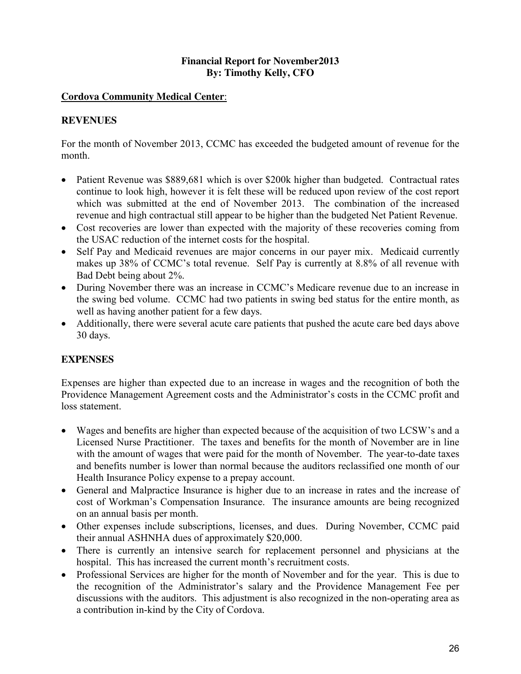## **Financial Report for November2013 By: Timothy Kelly, CFO**

## **Cordova Community Medical Center**:

## **REVENUES**

For the month of November 2013, CCMC has exceeded the budgeted amount of revenue for the month.

- Patient Revenue was \$889,681 which is over \$200k higher than budgeted. Contractual rates continue to look high, however it is felt these will be reduced upon review of the cost report which was submitted at the end of November 2013. The combination of the increased revenue and high contractual still appear to be higher than the budgeted Net Patient Revenue.
- Cost recoveries are lower than expected with the majority of these recoveries coming from the USAC reduction of the internet costs for the hospital.
- Self Pay and Medicaid revenues are major concerns in our payer mix. Medicaid currently makes up 38% of CCMC's total revenue. Self Pay is currently at 8.8% of all revenue with Bad Debt being about 2%.
- During November there was an increase in CCMC's Medicare revenue due to an increase in the swing bed volume. CCMC had two patients in swing bed status for the entire month, as well as having another patient for a few days.
- Additionally, there were several acute care patients that pushed the acute care bed days above 30 days.

## **EXPENSES**

Expenses are higher than expected due to an increase in wages and the recognition of both the Providence Management Agreement costs and the Administrator's costs in the CCMC profit and loss statement.

- Wages and benefits are higher than expected because of the acquisition of two LCSW's and a Licensed Nurse Practitioner. The taxes and benefits for the month of November are in line with the amount of wages that were paid for the month of November. The year-to-date taxes and benefits number is lower than normal because the auditors reclassified one month of our Health Insurance Policy expense to a prepay account.
- General and Malpractice Insurance is higher due to an increase in rates and the increase of cost of Workman's Compensation Insurance. The insurance amounts are being recognized on an annual basis per month.
- Other expenses include subscriptions, licenses, and dues. During November, CCMC paid their annual ASHNHA dues of approximately \$20,000.
- There is currently an intensive search for replacement personnel and physicians at the hospital. This has increased the current month's recruitment costs.
- Professional Services are higher for the month of November and for the year. This is due to the recognition of the Administrator's salary and the Providence Management Fee per discussions with the auditors. This adjustment is also recognized in the non-operating area as a contribution in-kind by the City of Cordova.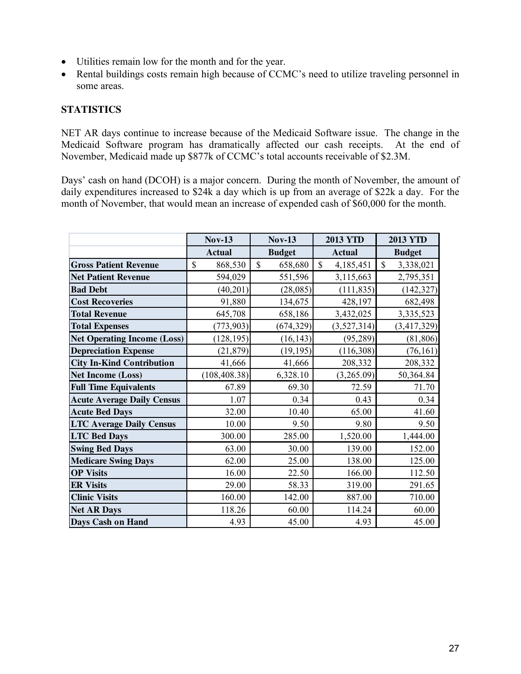- Utilities remain low for the month and for the year.
- Rental buildings costs remain high because of CCMC's need to utilize traveling personnel in some areas.

## **STATISTICS**

NET AR days continue to increase because of the Medicaid Software issue. The change in the Medicaid Software program has dramatically affected our cash receipts. At the end of November, Medicaid made up \$877k of CCMC's total accounts receivable of \$2.3M.

Days' cash on hand (DCOH) is a major concern. During the month of November, the amount of daily expenditures increased to \$24k a day which is up from an average of \$22k a day. For the month of November, that would mean an increase of expended cash of \$60,000 for the month.

|                                    | <b>Nov-13</b>           | <b>Nov-13</b>           | <b>2013 YTD</b>          | <b>2013 YTD</b>           |
|------------------------------------|-------------------------|-------------------------|--------------------------|---------------------------|
|                                    | <b>Actual</b>           | <b>Budget</b>           | <b>Actual</b>            | <b>Budget</b>             |
| <b>Gross Patient Revenue</b>       | $\mathbb{S}$<br>868,530 | $\mathbb{S}$<br>658,680 | $\mathbf S$<br>4,185,451 | $\mathbb{S}$<br>3,338,021 |
| <b>Net Patient Revenue</b>         | 594,029                 | 551,596                 | 3,115,663                | 2,795,351                 |
| <b>Bad Debt</b>                    | (40, 201)               | (28, 085)               | (111, 835)               | (142, 327)                |
| <b>Cost Recoveries</b>             | 91,880                  | 134,675                 | 428,197                  | 682,498                   |
| <b>Total Revenue</b>               | 645,708                 | 658,186                 | 3,432,025                | 3,335,523                 |
| <b>Total Expenses</b>              | (773, 903)              | (674, 329)              | (3, 527, 314)            | (3, 417, 329)             |
| <b>Net Operating Income (Loss)</b> | (128, 195)              | (16, 143)               | (95, 289)                | (81, 806)                 |
| <b>Depreciation Expense</b>        | (21, 879)               | (19, 195)               | (116,308)                | (76, 161)                 |
| <b>City In-Kind Contribution</b>   | 41,666                  | 41,666                  | 208,332                  | 208,332                   |
| <b>Net Income (Loss)</b>           | (108, 408.38)           | 6,328.10                | (3,265.09)               | 50,364.84                 |
| <b>Full Time Equivalents</b>       | 67.89                   | 69.30                   | 72.59                    | 71.70                     |
| <b>Acute Average Daily Census</b>  | 1.07                    | 0.34                    | 0.43                     | 0.34                      |
| <b>Acute Bed Days</b>              | 32.00                   | 10.40                   | 65.00                    | 41.60                     |
| <b>LTC Average Daily Census</b>    | 10.00                   | 9.50                    | 9.80                     | 9.50                      |
| <b>LTC Bed Days</b>                | 300.00                  | 285.00                  | 1,520.00                 | 1,444.00                  |
| <b>Swing Bed Days</b>              | 63.00                   | 30.00                   | 139.00                   | 152.00                    |
| <b>Medicare Swing Days</b>         | 62.00                   | 25.00                   | 138.00                   | 125.00                    |
| <b>OP Visits</b>                   | 16.00                   | 22.50                   | 166.00                   | 112.50                    |
| <b>ER Visits</b>                   | 29.00                   | 58.33                   | 319.00                   | 291.65                    |
| <b>Clinic Visits</b>               | 160.00                  | 142.00                  | 887.00                   | 710.00                    |
| <b>Net AR Days</b>                 | 118.26                  | 60.00                   | 114.24                   | 60.00                     |
| Days Cash on Hand                  | 4.93                    | 45.00                   | 4.93                     | 45.00                     |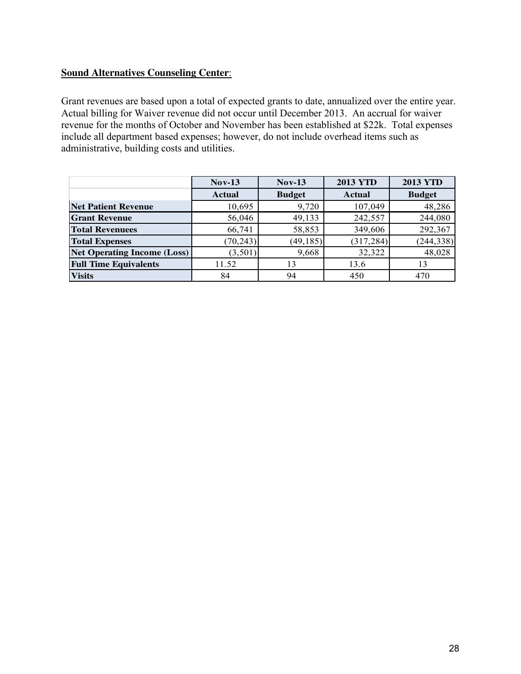## **Sound Alternatives Counseling Center**:

Grant revenues are based upon a total of expected grants to date, annualized over the entire year. Actual billing for Waiver revenue did not occur until December 2013. An accrual for waiver revenue for the months of October and November has been established at \$22k. Total expenses include all department based expenses; however, do not include overhead items such as administrative, building costs and utilities.

|                                    | $Nov-13$      | $Nov-13$      | <b>2013 YTD</b> | <b>2013 YTD</b> |
|------------------------------------|---------------|---------------|-----------------|-----------------|
|                                    | <b>Actual</b> | <b>Budget</b> | <b>Actual</b>   | <b>Budget</b>   |
| <b>Net Patient Revenue</b>         | 10,695        | 9,720         | 107,049         | 48,286          |
| <b>Grant Revenue</b>               | 56,046        | 49,133        | 242,557         | 244,080         |
| <b>Total Revenuees</b>             | 66,741        | 58,853        | 349,606         | 292,367         |
| <b>Total Expenses</b>              | (70, 243)     | (49, 185)     | (317, 284)      | (244, 338)      |
| <b>Net Operating Income (Loss)</b> | (3,501)       | 9,668         | 32,322          | 48,028          |
| <b>Full Time Equivalents</b>       | 11.52         | 13            | 13.6            | 13              |
| <b>Visits</b>                      | 84            | 94            | 450             | 470             |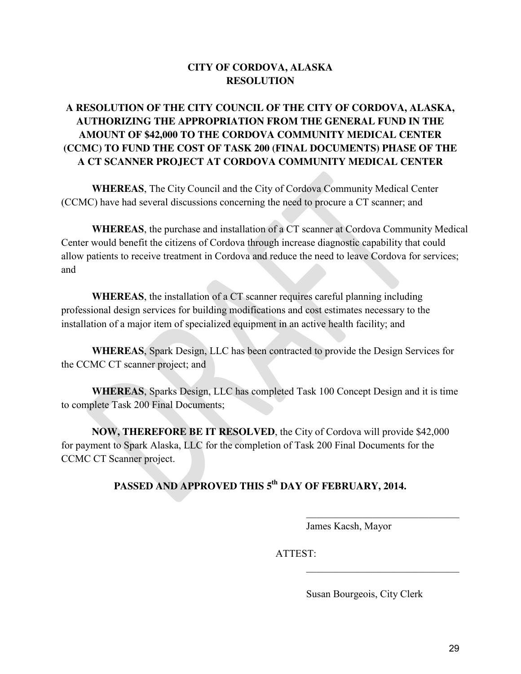## **CITY OF CORDOVA, ALASKA RESOLUTION**

## **A RESOLUTION OF THE CITY COUNCIL OF THE CITY OF CORDOVA, ALASKA, AUTHORIZING THE APPROPRIATION FROM THE GENERAL FUND IN THE AMOUNT OF \$42,000 TO THE CORDOVA COMMUNITY MEDICAL CENTER (CCMC) TO FUND THE COST OF TASK 200 (FINAL DOCUMENTS) PHASE OF THE A CT SCANNER PROJECT AT CORDOVA COMMUNITY MEDICAL CENTER**

**WHEREAS**, The City Council and the City of Cordova Community Medical Center (CCMC) have had several discussions concerning the need to procure a CT scanner; and

**WHEREAS**, the purchase and installation of a CT scanner at Cordova Community Medical Center would benefit the citizens of Cordova through increase diagnostic capability that could allow patients to receive treatment in Cordova and reduce the need to leave Cordova for services; and

**WHEREAS**, the installation of a CT scanner requires careful planning including professional design services for building modifications and cost estimates necessary to the installation of a major item of specialized equipment in an active health facility; and

**WHEREAS**, Spark Design, LLC has been contracted to provide the Design Services for the CCMC CT scanner project; and

**WHEREAS**, Sparks Design, LLC has completed Task 100 Concept Design and it is time to complete Task 200 Final Documents;

**NOW, THEREFORE BE IT RESOLVED**, the City of Cordova will provide \$42,000 for payment to Spark Alaska, LLC for the completion of Task 200 Final Documents for the CCMC CT Scanner project.

## **PASSED AND APPROVED THIS 5 th DAY OF FEBRUARY, 2014.**

 $\mathcal{L}_\text{max}$  , and the contract of the contract of the contract of the contract of the contract of the contract of the contract of the contract of the contract of the contract of the contract of the contract of the contr

 $\mathcal{L}_\text{max}$  , and the contract of the contract of the contract of the contract of the contract of the contract of the contract of the contract of the contract of the contract of the contract of the contract of the contr

James Kacsh, Mayor

ATTEST:

Susan Bourgeois, City Clerk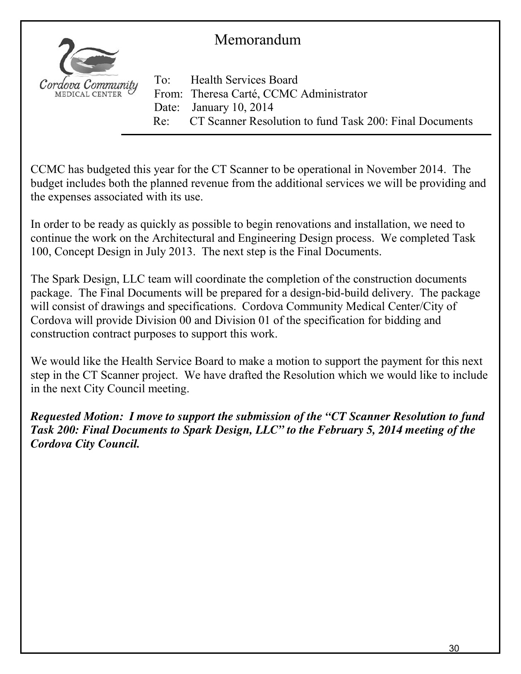## Memorandum

![](_page_30_Picture_1.jpeg)

To: Health Services Board From: Theresa Carté, CCMC Administrator Date: January 10, 2014 Re: CT Scanner Resolution to fund Task 200: Final Documents

CCMC has budgeted this year for the CT Scanner to be operational in November 2014. The budget includes both the planned revenue from the additional services we will be providing and the expenses associated with its use.

In order to be ready as quickly as possible to begin renovations and installation, we need to continue the work on the Architectural and Engineering Design process. We completed Task 100, Concept Design in July 2013. The next step is the Final Documents.

The Spark Design, LLC team will coordinate the completion of the construction documents package. The Final Documents will be prepared for a design-bid-build delivery. The package will consist of drawings and specifications. Cordova Community Medical Center/City of Cordova will provide Division 00 and Division 01 of the specification for bidding and construction contract purposes to support this work.

We would like the Health Service Board to make a motion to support the payment for this next step in the CT Scanner project. We have drafted the Resolution which we would like to include in the next City Council meeting.

*Requested Motion: I move to support the submission of the "CT Scanner Resolution to fund Task 200: Final Documents to Spark Design, LLC" to the February 5, 2014 meeting of the Cordova City Council.*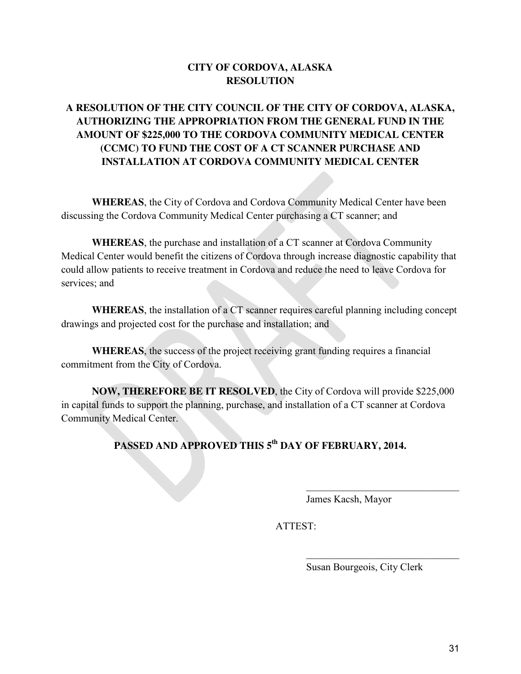## **CITY OF CORDOVA, ALASKA RESOLUTION**

## **A RESOLUTION OF THE CITY COUNCIL OF THE CITY OF CORDOVA, ALASKA, AUTHORIZING THE APPROPRIATION FROM THE GENERAL FUND IN THE AMOUNT OF \$225,000 TO THE CORDOVA COMMUNITY MEDICAL CENTER (CCMC) TO FUND THE COST OF A CT SCANNER PURCHASE AND INSTALLATION AT CORDOVA COMMUNITY MEDICAL CENTER**

**WHEREAS**, the City of Cordova and Cordova Community Medical Center have been discussing the Cordova Community Medical Center purchasing a CT scanner; and

**WHEREAS**, the purchase and installation of a CT scanner at Cordova Community Medical Center would benefit the citizens of Cordova through increase diagnostic capability that could allow patients to receive treatment in Cordova and reduce the need to leave Cordova for services; and

**WHEREAS**, the installation of a CT scanner requires careful planning including concept drawings and projected cost for the purchase and installation; and

**WHEREAS**, the success of the project receiving grant funding requires a financial commitment from the City of Cordova.

**NOW, THEREFORE BE IT RESOLVED**, the City of Cordova will provide \$225,000 in capital funds to support the planning, purchase, and installation of a CT scanner at Cordova Community Medical Center.

**PASSED AND APPROVED THIS 5 th DAY OF FEBRUARY, 2014.** 

 $\mathcal{L}_\mathcal{L} = \mathcal{L}_\mathcal{L} = \mathcal{L}_\mathcal{L} = \mathcal{L}_\mathcal{L} = \mathcal{L}_\mathcal{L} = \mathcal{L}_\mathcal{L} = \mathcal{L}_\mathcal{L} = \mathcal{L}_\mathcal{L} = \mathcal{L}_\mathcal{L} = \mathcal{L}_\mathcal{L} = \mathcal{L}_\mathcal{L} = \mathcal{L}_\mathcal{L} = \mathcal{L}_\mathcal{L} = \mathcal{L}_\mathcal{L} = \mathcal{L}_\mathcal{L} = \mathcal{L}_\mathcal{L} = \mathcal{L}_\mathcal{L}$ 

 $\mathcal{L}_\text{max}$  , which is a set of the set of the set of the set of the set of the set of the set of the set of the set of the set of the set of the set of the set of the set of the set of the set of the set of the set of

James Kacsh, Mayor

ATTEST:

Susan Bourgeois, City Clerk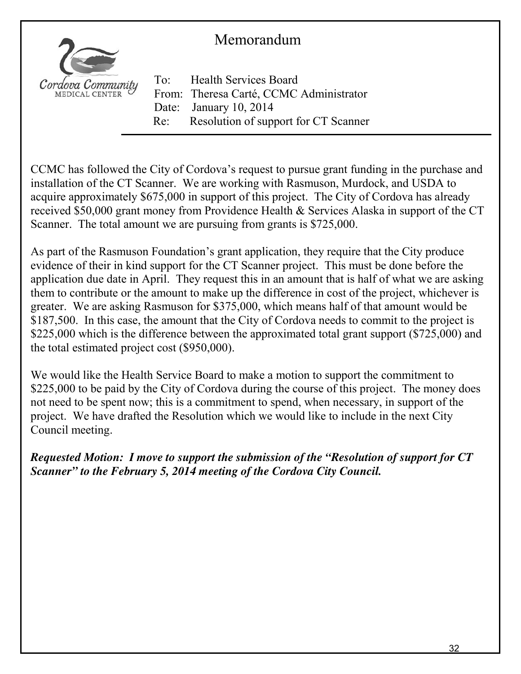## Memorandum

![](_page_32_Picture_1.jpeg)

To: Health Services Board From: Theresa Carté, CCMC Administrator Date: January 10, 2014 Re: Resolution of support for CT Scanner

CCMC has followed the City of Cordova's request to pursue grant funding in the purchase and installation of the CT Scanner. We are working with Rasmuson, Murdock, and USDA to acquire approximately \$675,000 in support of this project. The City of Cordova has already received \$50,000 grant money from Providence Health & Services Alaska in support of the CT Scanner. The total amount we are pursuing from grants is \$725,000.

As part of the Rasmuson Foundation's grant application, they require that the City produce evidence of their in kind support for the CT Scanner project. This must be done before the application due date in April. They request this in an amount that is half of what we are asking them to contribute or the amount to make up the difference in cost of the project, whichever is greater. We are asking Rasmuson for \$375,000, which means half of that amount would be \$187,500. In this case, the amount that the City of Cordova needs to commit to the project is \$225,000 which is the difference between the approximated total grant support (\$725,000) and the total estimated project cost (\$950,000).

We would like the Health Service Board to make a motion to support the commitment to \$225,000 to be paid by the City of Cordova during the course of this project. The money does not need to be spent now; this is a commitment to spend, when necessary, in support of the project. We have drafted the Resolution which we would like to include in the next City Council meeting.

*Requested Motion: I move to support the submission of the "Resolution of support for CT Scanner" to the February 5, 2014 meeting of the Cordova City Council.*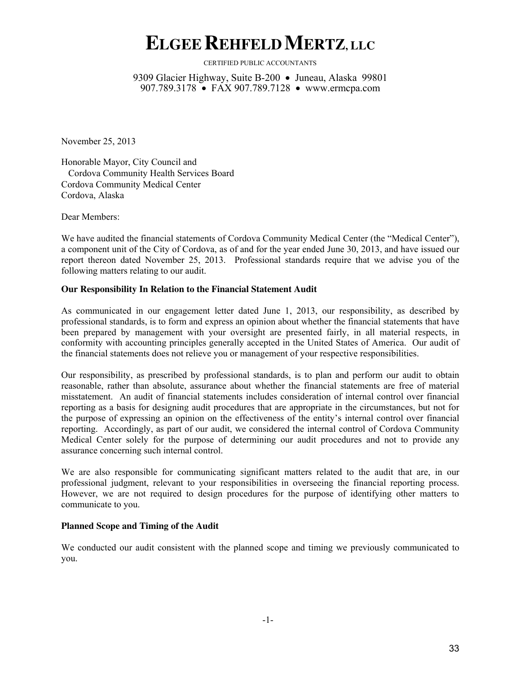## **ELGEEREHFELDMERTZ, LLC**

CERTIFIED PUBLIC ACCOUNTANTS

9309 Glacier Highway, Suite B-200 • Juneau, Alaska 99801 907.789.3178 • FAX 907.789.7128 • www.ermcpa.com

November 25, 2013

Honorable Mayor, City Council and Cordova Community Health Services Board Cordova Community Medical Center Cordova, Alaska

Dear Members:

We have audited the financial statements of Cordova Community Medical Center (the "Medical Center"), a component unit of the City of Cordova, as of and for the year ended June 30, 2013, and have issued our report thereon dated November 25, 2013. Professional standards require that we advise you of the following matters relating to our audit.

## **Our Responsibility In Relation to the Financial Statement Audit**

As communicated in our engagement letter dated June 1, 2013, our responsibility, as described by professional standards, is to form and express an opinion about whether the financial statements that have been prepared by management with your oversight are presented fairly, in all material respects, in conformity with accounting principles generally accepted in the United States of America. Our audit of the financial statements does not relieve you or management of your respective responsibilities.

Our responsibility, as prescribed by professional standards, is to plan and perform our audit to obtain reasonable, rather than absolute, assurance about whether the financial statements are free of material misstatement. An audit of financial statements includes consideration of internal control over financial reporting as a basis for designing audit procedures that are appropriate in the circumstances, but not for the purpose of expressing an opinion on the effectiveness of the entity's internal control over financial reporting. Accordingly, as part of our audit, we considered the internal control of Cordova Community Medical Center solely for the purpose of determining our audit procedures and not to provide any assurance concerning such internal control.

We are also responsible for communicating significant matters related to the audit that are, in our professional judgment, relevant to your responsibilities in overseeing the financial reporting process. However, we are not required to design procedures for the purpose of identifying other matters to communicate to you.

## **Planned Scope and Timing of the Audit**

We conducted our audit consistent with the planned scope and timing we previously communicated to you.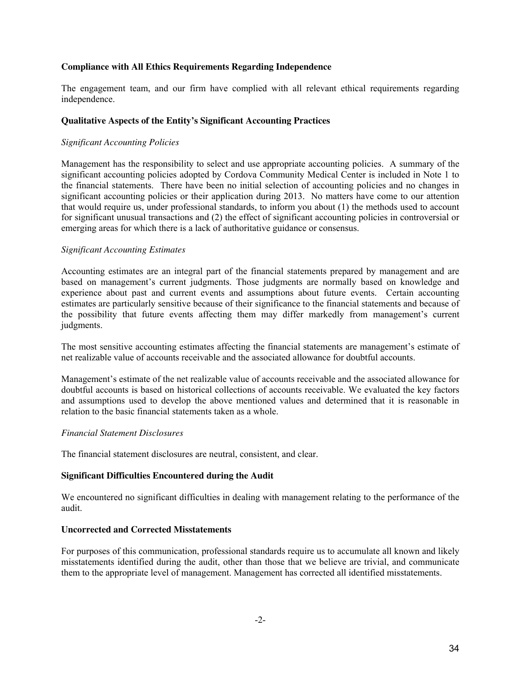## **Compliance with All Ethics Requirements Regarding Independence**

The engagement team, and our firm have complied with all relevant ethical requirements regarding independence.

## **Qualitative Aspects of the Entity's Significant Accounting Practices**

## *Significant Accounting Policies*

Management has the responsibility to select and use appropriate accounting policies. A summary of the significant accounting policies adopted by Cordova Community Medical Center is included in Note 1 to the financial statements. There have been no initial selection of accounting policies and no changes in significant accounting policies or their application during 2013. No matters have come to our attention that would require us, under professional standards, to inform you about (1) the methods used to account for significant unusual transactions and (2) the effect of significant accounting policies in controversial or emerging areas for which there is a lack of authoritative guidance or consensus.

## *Significant Accounting Estimates*

Accounting estimates are an integral part of the financial statements prepared by management and are based on management's current judgments. Those judgments are normally based on knowledge and experience about past and current events and assumptions about future events. Certain accounting estimates are particularly sensitive because of their significance to the financial statements and because of the possibility that future events affecting them may differ markedly from management's current judgments.

The most sensitive accounting estimates affecting the financial statements are management's estimate of net realizable value of accounts receivable and the associated allowance for doubtful accounts.

Management's estimate of the net realizable value of accounts receivable and the associated allowance for doubtful accounts is based on historical collections of accounts receivable. We evaluated the key factors and assumptions used to develop the above mentioned values and determined that it is reasonable in relation to the basic financial statements taken as a whole.

## *Financial Statement Disclosures*

The financial statement disclosures are neutral, consistent, and clear.

## **Significant Difficulties Encountered during the Audit**

We encountered no significant difficulties in dealing with management relating to the performance of the audit.

## **Uncorrected and Corrected Misstatements**

For purposes of this communication, professional standards require us to accumulate all known and likely misstatements identified during the audit, other than those that we believe are trivial, and communicate them to the appropriate level of management. Management has corrected all identified misstatements.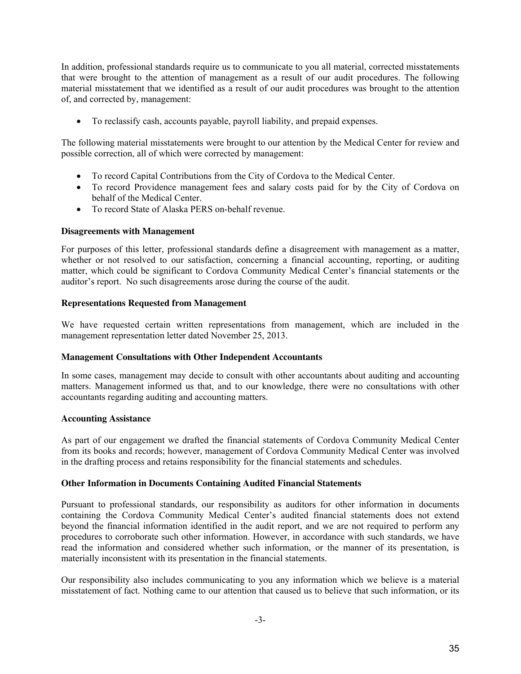In addition, professional standards require us to communicate to you all material, corrected misstatements that were brought to the attention of management as a result of our audit procedures. The following material misstatement that we identified as a result of our audit procedures was brought to the attention of, and corrected by, management:

To reclassify cash, accounts payable, payroll liability, and prepaid expenses.

The following material misstatements were brought to our attention by the Medical Center for review and possible correction, all of which were corrected by management:

- To record Capital Contributions from the City of Cordova to the Medical Center.
- To record Providence management fees and salary costs paid for by the City of Cordova on behalf of the Medical Center.
- To record State of Alaska PERS on-behalf revenue.

## **Disagreements with Management**

For purposes of this letter, professional standards define a disagreement with management as a matter, whether or not resolved to our satisfaction, concerning a financial accounting, reporting, or auditing matter, which could be significant to Cordova Community Medical Center's financial statements or the auditor's report. No such disagreements arose during the course of the audit.

## **Representations Requested from Management**

We have requested certain written representations from management, which are included in the management representation letter dated November 25, 2013.

## **Management Consultations with Other Independent Accountants**

In some cases, management may decide to consult with other accountants about auditing and accounting matters. Management informed us that, and to our knowledge, there were no consultations with other accountants regarding auditing and accounting matters.

## **Accounting Assistance**

As part of our engagement we drafted the financial statements of Cordova Community Medical Center from its books and records; however, management of Cordova Community Medical Center was involved in the drafting process and retains responsibility for the financial statements and schedules.

## **Other Information in Documents Containing Audited Financial Statements**

Pursuant to professional standards, our responsibility as auditors for other information in documents containing the Cordova Community Medical Center's audited financial statements does not extend beyond the financial information identified in the audit report, and we are not required to perform any procedures to corroborate such other information. However, in accordance with such standards, we have read the information and considered whether such information, or the manner of its presentation, is materially inconsistent with its presentation in the financial statements.

Our responsibility also includes communicating to you any information which we believe is a material misstatement of fact. Nothing came to our attention that caused us to believe that such information, or its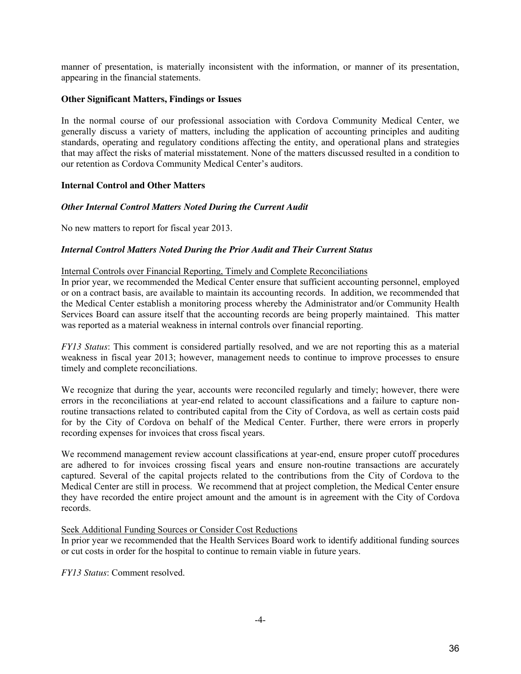manner of presentation, is materially inconsistent with the information, or manner of its presentation, appearing in the financial statements.

## **Other Significant Matters, Findings or Issues**

In the normal course of our professional association with Cordova Community Medical Center, we generally discuss a variety of matters, including the application of accounting principles and auditing standards, operating and regulatory conditions affecting the entity, and operational plans and strategies that may affect the risks of material misstatement. None of the matters discussed resulted in a condition to our retention as Cordova Community Medical Center's auditors.

## **Internal Control and Other Matters**

## *Other Internal Control Matters Noted During the Current Audit*

No new matters to report for fiscal year 2013.

## *Internal Control Matters Noted During the Prior Audit and Their Current Status*

## Internal Controls over Financial Reporting, Timely and Complete Reconciliations

In prior year, we recommended the Medical Center ensure that sufficient accounting personnel, employed or on a contract basis, are available to maintain its accounting records. In addition, we recommended that the Medical Center establish a monitoring process whereby the Administrator and/or Community Health Services Board can assure itself that the accounting records are being properly maintained. This matter was reported as a material weakness in internal controls over financial reporting.

*FY13 Status*: This comment is considered partially resolved, and we are not reporting this as a material weakness in fiscal year 2013; however, management needs to continue to improve processes to ensure timely and complete reconciliations.

We recognize that during the year, accounts were reconciled regularly and timely; however, there were errors in the reconciliations at year-end related to account classifications and a failure to capture nonroutine transactions related to contributed capital from the City of Cordova, as well as certain costs paid for by the City of Cordova on behalf of the Medical Center. Further, there were errors in properly recording expenses for invoices that cross fiscal years.

We recommend management review account classifications at year-end, ensure proper cutoff procedures are adhered to for invoices crossing fiscal years and ensure non-routine transactions are accurately captured. Several of the capital projects related to the contributions from the City of Cordova to the Medical Center are still in process. We recommend that at project completion, the Medical Center ensure they have recorded the entire project amount and the amount is in agreement with the City of Cordova records.

## Seek Additional Funding Sources or Consider Cost Reductions

In prior year we recommended that the Health Services Board work to identify additional funding sources or cut costs in order for the hospital to continue to remain viable in future years.

*FY13 Status*: Comment resolved.